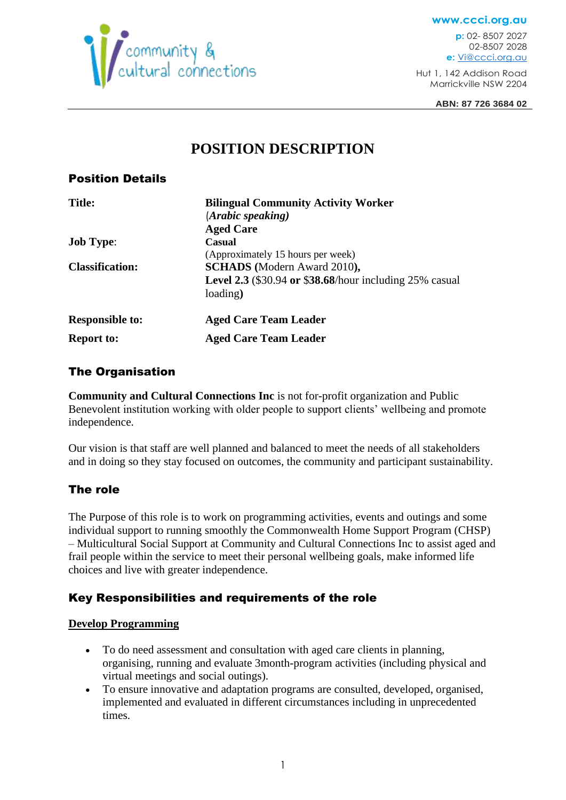

**www.ccci.org.au p:** 02- 8507 2027 02-8507 2028 **e:** [Vi@ccci.org.au](mailto:Vi@ccci.org.au)

Hut 1, 142 Addison Road Marrickville NSW 2204

**ABN: 87 726 3684 02**

# **POSITION DESCRIPTION**

### Position Details

| <b>Title:</b>          | <b>Bilingual Community Activity Worker</b><br>(Arabic speaking)<br><b>Aged Care</b>                                                                   |
|------------------------|-------------------------------------------------------------------------------------------------------------------------------------------------------|
| <b>Job Type:</b>       | Casual                                                                                                                                                |
| <b>Classification:</b> | (Approximately 15 hours per week)<br><b>SCHADS</b> (Modern Award 2010),<br><b>Level 2.3</b> (\$30.94 or \$38.68/hour including 25% casual<br>loading) |
| <b>Responsible to:</b> | <b>Aged Care Team Leader</b>                                                                                                                          |
| <b>Report to:</b>      | <b>Aged Care Team Leader</b>                                                                                                                          |

# The Organisation

**Community and Cultural Connections Inc** is not for-profit organization and Public Benevolent institution working with older people to support clients' wellbeing and promote independence.

Our vision is that staff are well planned and balanced to meet the needs of all stakeholders and in doing so they stay focused on outcomes, the community and participant sustainability.

# The role

The Purpose of this role is to work on programming activities, events and outings and some individual support to running smoothly the Commonwealth Home Support Program (CHSP) – Multicultural Social Support at Community and Cultural Connections Inc to assist aged and frail people within the service to meet their personal wellbeing goals, make informed life choices and live with greater independence.

# Key Responsibilities and requirements of the role

#### **Develop Programming**

- To do need assessment and consultation with aged care clients in planning, organising, running and evaluate 3month-program activities (including physical and virtual meetings and social outings).
- To ensure innovative and adaptation programs are consulted, developed, organised, implemented and evaluated in different circumstances including in unprecedented times.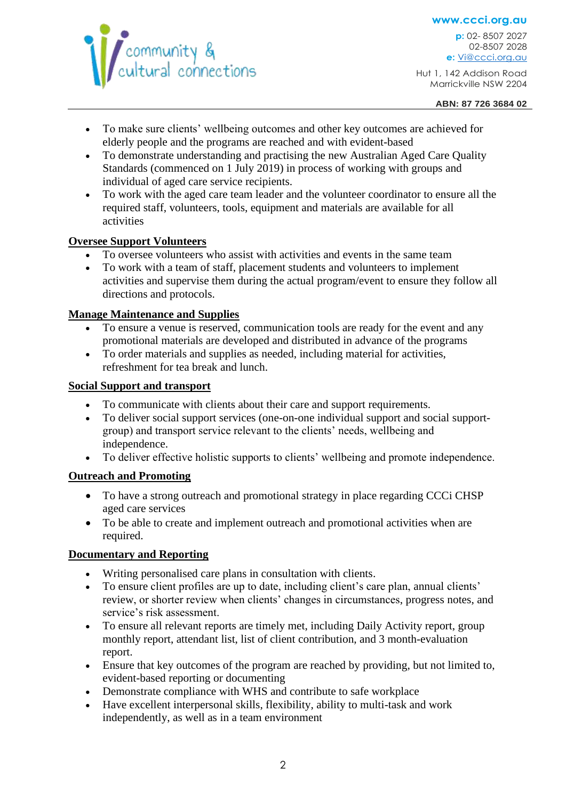

**www.ccci.org.au p:** 02- 8507 2027 02-8507 2028 **e:** [Vi@ccci.org.au](mailto:Vi@ccci.org.au)

Hut 1, 142 Addison Road Marrickville NSW 2204

- To make sure clients' wellbeing outcomes and other key outcomes are achieved for elderly people and the programs are reached and with evident-based
- To demonstrate understanding and practising the new Australian Aged Care Quality Standards (commenced on 1 July 2019) in process of working with groups and individual of aged care service recipients.
- To work with the aged care team leader and the volunteer coordinator to ensure all the required staff, volunteers, tools, equipment and materials are available for all activities

#### **Oversee Support Volunteers**

- To oversee volunteers who assist with activities and events in the same team
- To work with a team of staff, placement students and volunteers to implement activities and supervise them during the actual program/event to ensure they follow all directions and protocols.

#### **Manage Maintenance and Supplies**

- To ensure a venue is reserved, communication tools are ready for the event and any promotional materials are developed and distributed in advance of the programs
- To order materials and supplies as needed, including material for activities, refreshment for tea break and lunch.

#### **Social Support and transport**

- To communicate with clients about their care and support requirements.
- To deliver social support services (one-on-one individual support and social supportgroup) and transport service relevant to the clients' needs, wellbeing and independence.
- To deliver effective holistic supports to clients' wellbeing and promote independence.

#### **Outreach and Promoting**

- To have a strong outreach and promotional strategy in place regarding CCC CHSP aged care services
- To be able to create and implement outreach and promotional activities when are required.

#### **Documentary and Reporting**

- Writing personalised care plans in consultation with clients.
- To ensure client profiles are up to date, including client's care plan, annual clients' review, or shorter review when clients' changes in circumstances, progress notes, and service's risk assessment.
- To ensure all relevant reports are timely met, including Daily Activity report, group monthly report, attendant list, list of client contribution, and 3 month-evaluation report.
- Ensure that key outcomes of the program are reached by providing, but not limited to, evident-based reporting or documenting
- Demonstrate compliance with WHS and contribute to safe workplace
- Have excellent interpersonal skills, flexibility, ability to multi-task and work independently, as well as in a team environment